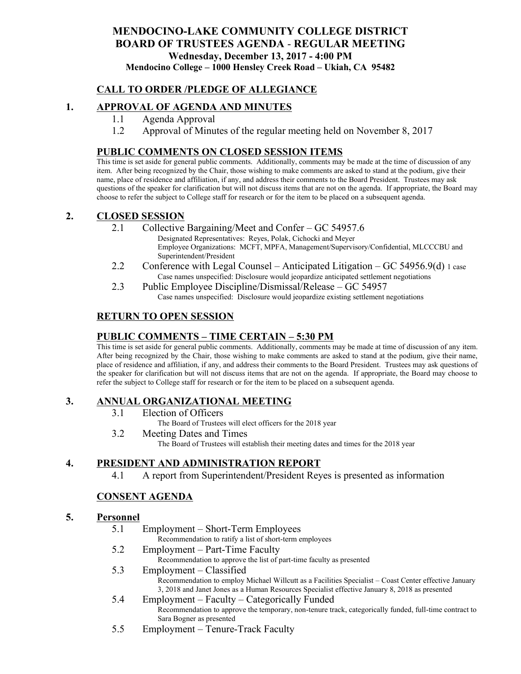# **MENDOCINO-LAKE COMMUNITY COLLEGE DISTRICT BOARD OF TRUSTEES AGENDA** - **REGULAR MEETING Wednesday, December 13, 2017 - 4:00 PM Mendocino College – 1000 Hensley Creek Road – Ukiah, CA 95482**

# **CALL TO ORDER /PLEDGE OF ALLEGIANCE**

# **1. APPROVAL OF AGENDA AND MINUTES**

- 1.1 Agenda Approval
- 1.2 Approval of Minutes of the regular meeting held on November 8, 2017

### **PUBLIC COMMENTS ON CLOSED SESSION ITEMS**

This time is set aside for general public comments. Additionally, comments may be made at the time of discussion of any item. After being recognized by the Chair, those wishing to make comments are asked to stand at the podium, give their name, place of residence and affiliation, if any, and address their comments to the Board President. Trustees may ask questions of the speaker for clarification but will not discuss items that are not on the agenda. If appropriate, the Board may choose to refer the subject to College staff for research or for the item to be placed on a subsequent agenda.

### **2. CLOSED SESSION**

2.1 Collective Bargaining/Meet and Confer – GC 54957.6

Designated Representatives: Reyes, Polak, Cichocki and Meyer Employee Organizations: MCFT, MPFA, Management/Supervisory/Confidential, MLCCCBU and Superintendent/President

- 2.2 Conference with Legal Counsel Anticipated Litigation GC 54956.9(d) 1 case Case names unspecified: Disclosure would jeopardize anticipated settlement negotiations
- 2.3 Public Employee Discipline/Dismissal/Release GC 54957 Case names unspecified: Disclosure would jeopardize existing settlement negotiations

# **RETURN TO OPEN SESSION**

# **PUBLIC COMMENTS – TIME CERTAIN – 5:30 PM**

This time is set aside for general public comments. Additionally, comments may be made at time of discussion of any item. After being recognized by the Chair, those wishing to make comments are asked to stand at the podium, give their name, place of residence and affiliation, if any, and address their comments to the Board President. Trustees may ask questions of the speaker for clarification but will not discuss items that are not on the agenda. If appropriate, the Board may choose to refer the subject to College staff for research or for the item to be placed on a subsequent agenda.

## **3. ANNUAL ORGANIZATIONAL MEETING**

- 3.1 Election of Officers
	- The Board of Trustees will elect officers for the 2018 year
- 3.2 Meeting Dates and Times
	- The Board of Trustees will establish their meeting dates and times for the 2018 year

## **4. PRESIDENT AND ADMINISTRATION REPORT**

4.1 A report from Superintendent/President Reyes is presented as information

## **CONSENT AGENDA**

### **5. Personnel**

5.1 Employment – Short-Term Employees

Recommendation to ratify a list of short-term employees

5.2 Employment – Part-Time Faculty

Recommendation to approve the list of part-time faculty as presented

5.3 Employment – Classified

Recommendation to employ Michael Willcutt as a Facilities Specialist – Coast Center effective January 3, 2018 and Janet Jones as a Human Resources Specialist effective January 8, 2018 as presented

- 5.4 Employment Faculty Categorically Funded Recommendation to approve the temporary, non-tenure track, categorically funded, full-time contract to Sara Bogner as presented
- 5.5 Employment Tenure-Track Faculty